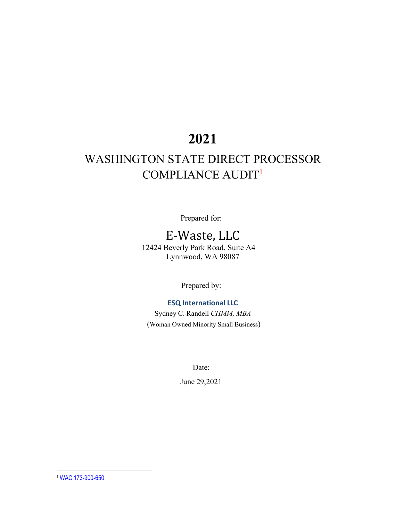# **2021**

### WASHINGTON STATE DIRECT PROCESSOR COMPLIANCE AUDIT<sup>1</sup>

Prepared for:

## E-Waste, LLC

12424 Beverly Park Road, Suite A4 Lynnwood, WA 98087

Prepared by:

**ESQ International LLC**

Sydney C. Randell *CHMM, MBA* (Woman Owned Minority Small Business)

Date:

June 29,2021

<span id="page-0-0"></span><sup>1</sup> WAC 173-900-650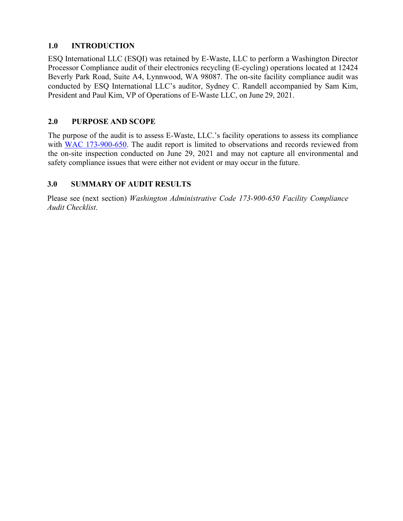#### **1.0 INTRODUCTION**

ESQ International LLC (ESQI) was retained by E-Waste, LLC to perform a Washington Director Processor Compliance audit of their electronics recycling (E-cycling) operations located at 12424 Beverly Park Road, Suite A4, Lynnwood, WA 98087. The on-site facility compliance audit was conducted by ESQ International LLC's auditor, Sydney C. Randell accompanied by Sam Kim, President and Paul Kim, VP of Operations of E-Waste LLC, on June 29, 2021.

### **2.0 PURPOSE AND SCOPE**

The purpose of the audit is to assess E-Waste, LLC.'s facility operations to assess its compliance with WAC 173-900-650. The audit report is limited to observations and records reviewed from the on-site inspection conducted on June 29, 2021 and may not capture all environmental and safety compliance issues that were either not evident or may occur in the future.

### **3.0 SUMMARY OF AUDIT RESULTS**

Please see (next section) *Washington Administrative Code 173-900-650 Facility Compliance Audit Checklist*.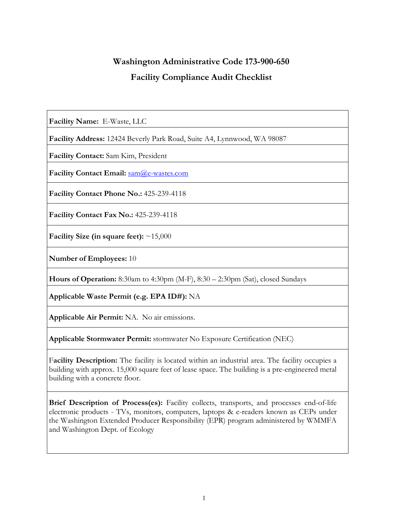### **Washington Administrative Code 173-900-650 Facility Compliance Audit Checklist**

**Facility Name:** E-Waste, LLC

**Facility Address:** 12424 Beverly Park Road, Suite A4, Lynnwood, WA 98087

**Facility Contact:** Sam Kim, President

**Facility Contact Email:** [sam@e-wastes.com](mailto:sam@e-wastes.com)

**Facility Contact Phone No.:** 425-239-4118

**Facility Contact Fax No.:** 425-239-4118

**Facility Size (in square feet):** ~15,000

**Number of Employees:** 10

**Hours of Operation:** 8:30am to 4:30pm (M-F), 8:30 – 2:30pm (Sat), closed Sundays

**Applicable Waste Permit (e.g. EPA ID#):** NA

**Applicable Air Permit:** NA. No air emissions.

**Applicable Stormwater Permit:** stormwater No Exposure Certification (NEC)

F**acility Description:** The facility is located within an industrial area. The facility occupies a building with approx. 15,000 square feet of lease space. The building is a pre-engineered metal building with a concrete floor.

**Brief Description of Process(es):** Facility collects, transports, and processes end-of-life electronic products - TVs, monitors, computers, laptops & e-readers known as CEPs under the Washington Extended Producer Responsibility (EPR) program administered by WMMFA and Washington Dept. of Ecology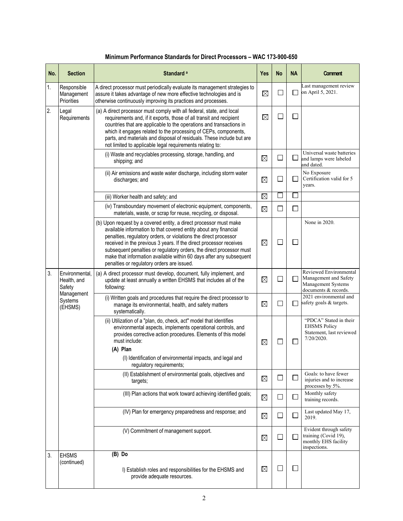| No. | <b>Section</b>                          | Standard <sup>a</sup>                                                                                                                                                                                                                                                                                                                                                                                                                                                         | Yes      | <b>No</b>     | <b>NA</b>      | <b>Comment</b>                                                                                |
|-----|-----------------------------------------|-------------------------------------------------------------------------------------------------------------------------------------------------------------------------------------------------------------------------------------------------------------------------------------------------------------------------------------------------------------------------------------------------------------------------------------------------------------------------------|----------|---------------|----------------|-----------------------------------------------------------------------------------------------|
| 1.  | Responsible<br>Management<br>Priorities | A direct processor must periodically evaluate its management strategies to<br>assure it takes advantage of new more effective technologies and is<br>otherwise continuously improving its practices and processes.                                                                                                                                                                                                                                                            | $\times$ |               |                | Last management review<br>on April 5, 2021.                                                   |
| 2.  | Legal<br>Requirements                   | (a) A direct processor must comply with all federal, state, and local<br>requirements and, if it exports, those of all transit and recipient<br>countries that are applicable to the operations and transactions in<br>which it engages related to the processing of CEPs, components,<br>parts, and materials and disposal of residuals. These include but are<br>not limited to applicable legal requirements relating to:                                                  | $\times$ |               |                |                                                                                               |
|     |                                         | (i) Waste and recyclables processing, storage, handling, and<br>shipping; and                                                                                                                                                                                                                                                                                                                                                                                                 | X        | □             |                | Universal waste batteries<br>and lamps were labeled<br>and dated.                             |
|     |                                         | (ii) Air emissions and waste water discharge, including storm water<br>discharges; and                                                                                                                                                                                                                                                                                                                                                                                        | $\times$ | $\Box$        |                | No Exposure<br>Certification valid for 5<br>years.                                            |
|     |                                         | (iii) Worker health and safety; and                                                                                                                                                                                                                                                                                                                                                                                                                                           | $\times$ | $\mathcal{L}$ |                |                                                                                               |
|     |                                         | (iv) Transboundary movement of electronic equipment, components,<br>materials, waste, or scrap for reuse, recycling, or disposal.                                                                                                                                                                                                                                                                                                                                             | $\times$ | $\Box$        |                |                                                                                               |
|     |                                         | (b) Upon request by a covered entity, a direct processor must make<br>available information to that covered entity about any financial<br>penalties, regulatory orders, or violations the direct processor<br>received in the previous 3 years. If the direct processor receives<br>subsequent penalties or regulatory orders, the direct processor must<br>make that information available within 60 days after any subsequent<br>penalties or regulatory orders are issued. | $\times$ | $\Box$        |                | None in 2020.                                                                                 |
| 3.  | Environmental,<br>Health, and<br>Safety | (a) A direct processor must develop, document, fully implement, and<br>update at least annually a written EHSMS that includes all of the<br>following:                                                                                                                                                                                                                                                                                                                        | $\times$ | $\Box$        |                | Reviewed Environmental<br>Management and Safety<br>Management Systems<br>documents & records. |
|     | Management<br>Systems<br>(EHSMS)        | (i) Written goals and procedures that require the direct processor to<br>manage its environmental, health, and safety matters<br>systematically.                                                                                                                                                                                                                                                                                                                              | $\times$ | П             | $\Box$         | 2021 environmental and<br>safety goals & targets.                                             |
|     |                                         | (ii) Utilization of a "plan, do, check, act" model that identifies<br>environmental aspects, implements operational controls, and<br>provides corrective action procedures. Elements of this model<br>must include:<br>(A) Plan<br>(I) Identification of environmental impacts, and legal and<br>regulatory requirements;                                                                                                                                                     | $\times$ |               |                | "PDCA" Stated in their<br><b>EHSMS Policy</b><br>Statement, last reviewed<br>7/20/2020.       |
|     |                                         | (II) Establishment of environmental goals, objectives and<br>targets;                                                                                                                                                                                                                                                                                                                                                                                                         | $\times$ | $\Box$        | $\blacksquare$ | Goals: to have fewer<br>injuries and to increase<br>processes by 5%.                          |
|     |                                         | (III) Plan actions that work toward achieving identified goals;                                                                                                                                                                                                                                                                                                                                                                                                               | $\times$ | $\Box$        |                | Monthly safety<br>training records.                                                           |
|     |                                         | (IV) Plan for emergency preparedness and response; and                                                                                                                                                                                                                                                                                                                                                                                                                        | $\times$ | $\Box$        |                | Last updated May 17,<br>2019.                                                                 |
|     |                                         | (V) Commitment of management support.                                                                                                                                                                                                                                                                                                                                                                                                                                         | $\times$ | $\Box$        |                | Evident through safety<br>training (Covid 19),<br>monthly EHS facility<br>inspections.        |
| 3.  | <b>EHSMS</b><br>(continued)             | (B) Do<br>I) Establish roles and responsibilities for the EHSMS and<br>provide adequate resources.                                                                                                                                                                                                                                                                                                                                                                            | X        | ⊔             |                |                                                                                               |

#### **Minimum Performance Standards for Direct Processors – WAC 173-900-650**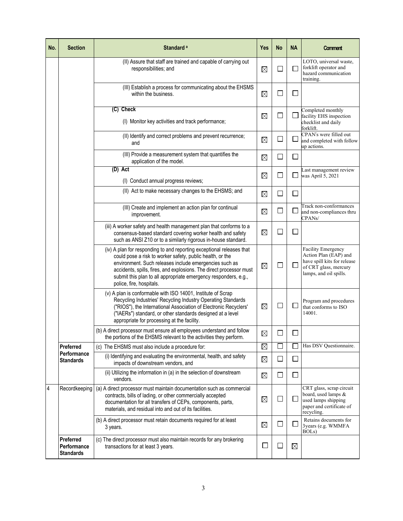| No. | <b>Section</b>                               | Standard <sup>a</sup>                                                                                                                                                                                                                                                                                                                                              | Yes      | No           | <b>NA</b>                   | Comment                                                                                                                              |
|-----|----------------------------------------------|--------------------------------------------------------------------------------------------------------------------------------------------------------------------------------------------------------------------------------------------------------------------------------------------------------------------------------------------------------------------|----------|--------------|-----------------------------|--------------------------------------------------------------------------------------------------------------------------------------|
|     |                                              | (II) Assure that staff are trained and capable of carrying out<br>responsibilities; and                                                                                                                                                                                                                                                                            | X        | $\Box$       |                             | LOTO, universal waste,<br>forklift operator and<br>hazard communication<br>training.                                                 |
|     |                                              | (III) Establish a process for communicating about the EHSMS<br>within the business.                                                                                                                                                                                                                                                                                | X        | $\Box$       | $\Box$                      |                                                                                                                                      |
|     |                                              | (C) Check<br>(I) Monitor key activities and track performance;                                                                                                                                                                                                                                                                                                     | X        | $\Box$       |                             | Completed monthly<br>facility EHS inspection<br>checklist and daily<br>forklift.                                                     |
|     |                                              | (II) Identify and correct problems and prevent recurrence;<br>and                                                                                                                                                                                                                                                                                                  | X        | $\Box$       | $\mathcal{L}_{\mathcal{A}}$ | CPAN's were filled out<br>and completed with follow<br>up actions.                                                                   |
|     |                                              | (III) Provide a measurement system that quantifies the<br>application of the model.                                                                                                                                                                                                                                                                                | $\times$ | $\Box$       | $\Box$                      |                                                                                                                                      |
|     |                                              | (D) Act<br>(I) Conduct annual progress reviews;                                                                                                                                                                                                                                                                                                                    | X        | $\Box$       | $\overline{\phantom{a}}$    | Last management review<br>was April 5, 2021                                                                                          |
|     |                                              | (II) Act to make necessary changes to the EHSMS; and                                                                                                                                                                                                                                                                                                               | X        | □            | $\overline{\phantom{a}}$    |                                                                                                                                      |
|     |                                              | (III) Create and implement an action plan for continual<br>improvement.                                                                                                                                                                                                                                                                                            | $\times$ | $\Box$       | $\Box$                      | Track non-conformances<br>and non-compliances thru<br>CPANs/                                                                         |
|     |                                              | (iii) A worker safety and health management plan that conforms to a<br>consensus-based standard covering worker health and safety<br>such as ANSI Z10 or to a similarly rigorous in-house standard.                                                                                                                                                                | $\times$ | $\Box$       | I.                          |                                                                                                                                      |
|     |                                              | (iv) A plan for responding to and reporting exceptional releases that<br>could pose a risk to worker safety, public health, or the<br>environment. Such releases include emergencies such as<br>accidents, spills, fires, and explosions. The direct processor must<br>submit this plan to all appropriate emergency responders, e.g.,<br>police, fire, hospitals. | $\times$ | $\Box$       | $\Box$                      | <b>Facility Emergency</b><br>Action Plan (EAP) and<br>have spill kits for release<br>of CRT glass, mercury<br>lamps, and oil spills. |
|     |                                              | (v) A plan is conformable with ISO 14001, Institute of Scrap<br>Recycling Industries' Recycling Industry Operating Standards<br>("RIOS"), the International Association of Electronic Recyclers'<br>("IAERs") standard, or other standards designed at a level<br>appropriate for processing at the facility.                                                      | X        | $\Box$       | $\mathbb{R}$                | Program and procedures<br>that conforms to ISO<br>14001.                                                                             |
|     |                                              | (b) A direct processor must ensure all employees understand and follow<br>the portions of the EHSMS relevant to the activities they perform.                                                                                                                                                                                                                       | $\times$ |              | $\Box$                      |                                                                                                                                      |
|     | Preferred                                    | (c) The EHSMS must also include a procedure for:                                                                                                                                                                                                                                                                                                                   | X        | $\mathbf{r}$ |                             | Has DSV Questionnaire.                                                                                                               |
|     | Performance<br>Standards                     | (i) Identifying and evaluating the environmental, health, and safety<br>impacts of downstream vendors, and                                                                                                                                                                                                                                                         | $\times$ | $\Box$       | $\overline{\phantom{a}}$    |                                                                                                                                      |
|     |                                              | (ii) Utilizing the information in (a) in the selection of downstream<br>vendors.                                                                                                                                                                                                                                                                                   | $\times$ | $\Box$       | $\overline{\phantom{a}}$    |                                                                                                                                      |
| 4   | Recordkeeping                                | (a) A direct processor must maintain documentation such as commercial<br>contracts, bills of lading, or other commercially accepted<br>documentation for all transfers of CEPs, components, parts,<br>materials, and residual into and out of its facilities.                                                                                                      | $\times$ | L            | └                           | CRT glass, scrap circuit<br>board, used lamps &<br>used lamps shipping<br>paper and certificate of<br>recycling.                     |
|     |                                              | (b) A direct processor must retain documents required for at least<br>3 years.                                                                                                                                                                                                                                                                                     | X        | $\Box$       | $\mathbb{R}$                | Retains documents for<br>3 years (e.g. WMMFA<br>BOL <sub>s</sub> )                                                                   |
|     | Preferred<br>Performance<br><b>Standards</b> | (c) The direct processor must also maintain records for any brokering<br>transactions for at least 3 years.                                                                                                                                                                                                                                                        | $\sim$   | $\mathbf{L}$ | $\times$                    |                                                                                                                                      |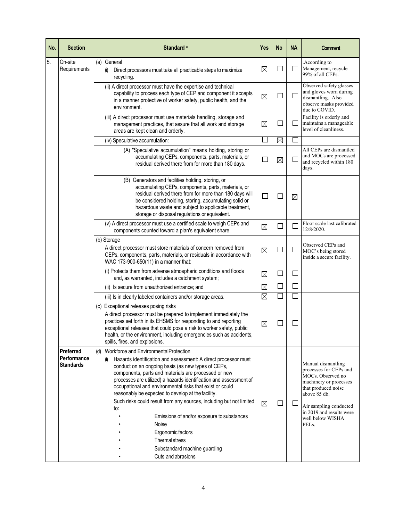| No. | <b>Section</b>                               | Standard <sup>a</sup>                                                                                                                                                                                                                                                                                                                                                                                                                                                                                                                                                                                                                                                    | Yes      | <b>No</b>                   | <b>NA</b>                | <b>Comment</b>                                                                                                                                                                                                                     |
|-----|----------------------------------------------|--------------------------------------------------------------------------------------------------------------------------------------------------------------------------------------------------------------------------------------------------------------------------------------------------------------------------------------------------------------------------------------------------------------------------------------------------------------------------------------------------------------------------------------------------------------------------------------------------------------------------------------------------------------------------|----------|-----------------------------|--------------------------|------------------------------------------------------------------------------------------------------------------------------------------------------------------------------------------------------------------------------------|
| 5.  | On-site<br>Requirements                      | (a) General<br>Direct processors must take all practicable steps to maximize<br>(i)<br>recycling.                                                                                                                                                                                                                                                                                                                                                                                                                                                                                                                                                                        | $\times$ | $\mathsf{L}$                |                          | .According to<br>Management, recycle<br>99% of all CEPs.                                                                                                                                                                           |
|     |                                              | (ii) A direct processor must have the expertise and technical<br>capability to process each type of CEP and component it accepts<br>in a manner protective of worker safety, public health, and the<br>environment.                                                                                                                                                                                                                                                                                                                                                                                                                                                      | $\times$ | $\mathcal{L}_{\mathcal{A}}$ | $\overline{\phantom{a}}$ | Observed safety glasses<br>and gloves worn during<br>dismantling. Also<br>observe masks provided<br>due to COVID.                                                                                                                  |
|     |                                              | (iii) A direct processor must use materials handling, storage and<br>management practices, that assure that all work and storage<br>areas are kept clean and orderly.                                                                                                                                                                                                                                                                                                                                                                                                                                                                                                    | X        | M                           |                          | Facility is orderly and<br>maintains a manageable<br>level of cleanliness.                                                                                                                                                         |
|     |                                              | (iv) Speculative accumulation:                                                                                                                                                                                                                                                                                                                                                                                                                                                                                                                                                                                                                                           | $\Box$   | $\times$                    |                          |                                                                                                                                                                                                                                    |
|     |                                              | (A) "Speculative accumulation" means holding, storing or<br>accumulating CEPs, components, parts, materials, or<br>residual derived there from for more than 180 days.                                                                                                                                                                                                                                                                                                                                                                                                                                                                                                   | $\Box$   | $\times$                    | $\overline{\phantom{a}}$ | All CEPs are dismantled<br>and MOCs are processed<br>and recycled within 180<br>days.                                                                                                                                              |
|     |                                              | (B) Generators and facilities holding, storing, or<br>accumulating CEPs, components, parts, materials, or<br>residual derived there from for more than 180 days will<br>be considered holding, storing, accumulating solid or<br>hazardous waste and subject to applicable treatment,<br>storage or disposal regulations or equivalent.                                                                                                                                                                                                                                                                                                                                  | □        | $\mathsf{L}$                | $\times$                 |                                                                                                                                                                                                                                    |
|     |                                              | (v) A direct processor must use a certified scale to weigh CEPs and<br>components counted toward a plan's equivalent share.                                                                                                                                                                                                                                                                                                                                                                                                                                                                                                                                              | $\times$ | $\Box$                      |                          | Floor scale last calibrated<br>12/8/2020.                                                                                                                                                                                          |
|     |                                              | (b) Storage<br>A direct processor must store materials of concern removed from<br>CEPs, components, parts, materials, or residuals in accordance with<br>WAC 173-900-650(11) in a manner that:                                                                                                                                                                                                                                                                                                                                                                                                                                                                           | $\times$ | $\mathcal{L}$               | $\Box$                   | Observed CEPs and<br>MOC's being stored<br>inside a secure facility.                                                                                                                                                               |
|     |                                              | (i) Protects them from adverse atmospheric conditions and floods<br>and, as warranted, includes a catchment system;                                                                                                                                                                                                                                                                                                                                                                                                                                                                                                                                                      | $\times$ | $\Box$                      | $\mathcal{L}$            |                                                                                                                                                                                                                                    |
|     |                                              | (ii) Is secure from unauthorized entrance; and                                                                                                                                                                                                                                                                                                                                                                                                                                                                                                                                                                                                                           | $\times$ |                             |                          |                                                                                                                                                                                                                                    |
|     |                                              | (iii) Is in clearly labeled containers and/or storage areas.                                                                                                                                                                                                                                                                                                                                                                                                                                                                                                                                                                                                             | $\times$ |                             |                          |                                                                                                                                                                                                                                    |
|     |                                              | (c) Exceptional releases posing risks<br>A direct processor must be prepared to implement immediately the<br>practices set forth in its EHSMS for responding to and reporting<br>exceptional releases that could pose a risk to worker safety, public<br>health, or the environment, including emergencies such as accidents,<br>spills, fires, and explosions.                                                                                                                                                                                                                                                                                                          | $\times$ |                             |                          |                                                                                                                                                                                                                                    |
|     | Preferred<br>Performance<br><b>Standards</b> | (d) Workforce and EnvironmentalProtection<br>Hazards identification and assessment: A direct processor must<br>$\left( i\right)$<br>conduct on an ongoing basis (as new types of CEPs,<br>components, parts and materials are processed or new<br>processes are utilized) a hazards identification and assessment of<br>occupational and environmental risks that exist or could<br>reasonably be expected to develop at the facility.<br>Such risks could result from any sources, including but not limited<br>to:<br>Emissions of and/or exposure to substances<br>Noise<br>Ergonomic factors<br>Thermal stress<br>Substandard machine guarding<br>Cuts and abrasions | X        | $\Box$                      | $\overline{\phantom{a}}$ | Manual dismantling<br>processes for CEPs and<br>MOCs. Observed no<br>machinery or processes<br>that produced noise<br>above 85 db.<br>Air sampling conducted<br>in 2019 and results were<br>well below WISHA<br>PEL <sub>s</sub> . |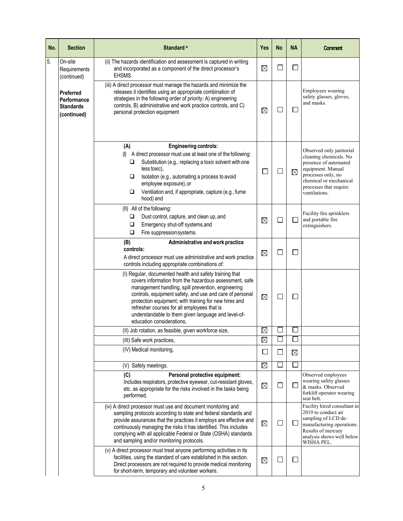| No. | <b>Section</b>                                              | Standard <sup>a</sup>                                                                                                                                                                                                                                                                                                                                                                                                           | Yes      | No           | <b>NA</b>                | Comment                                                                                                                                                                                     |
|-----|-------------------------------------------------------------|---------------------------------------------------------------------------------------------------------------------------------------------------------------------------------------------------------------------------------------------------------------------------------------------------------------------------------------------------------------------------------------------------------------------------------|----------|--------------|--------------------------|---------------------------------------------------------------------------------------------------------------------------------------------------------------------------------------------|
| 5.  | On-site<br>Requirements<br>(continued)                      | (ii) The hazards identification and assessment is captured in writing<br>and incorporated as a component of the direct processor's<br>EHSMS.                                                                                                                                                                                                                                                                                    | $\times$ | $\mathsf{L}$ |                          |                                                                                                                                                                                             |
|     | Preferred<br>Performance<br><b>Standards</b><br>(continued) | (iii) A direct processor must manage the hazards and minimize the<br>releases it identifies using an appropriate combination of<br>strategies in the following order of priority: A) engineering<br>controls, B) administrative and work practice controls, and C)<br>personal protection equipment                                                                                                                             | X        |              |                          | Employees wearing<br>safety glasses, gloves,<br>and masks.                                                                                                                                  |
|     |                                                             | (A)<br><b>Engineering controls:</b><br>A direct processor must use at least one of the following:<br>(<br>Substitution (e.g., replacing a toxic solvent with one<br>□<br>less toxic),<br>□<br>Isolation (e.g., automating a process to avoid<br>employee exposure), or<br>Ventilation and, if appropriate, capture (e.g., fume<br>□<br>hood) and                                                                                |          | $\Box$       | X                        | Observed only janitorial<br>cleaning chemicals. No<br>presence of automated<br>equipment. Manual<br>processes only, no<br>chemical or mechanical<br>processes that require<br>ventilations. |
|     |                                                             | (II) All of the following:<br>Dust control, capture, and clean up, and<br>□<br>❏<br>Emergency shut-off systems, and<br>Fire suppression systems.<br>❏                                                                                                                                                                                                                                                                           | $\times$ |              | ┓                        | Facility fire sprinklers<br>and portable fire<br>extinguishers.                                                                                                                             |
|     |                                                             | (B)<br>Administrative and work practice<br>controls:<br>A direct processor must use administrative and work practice<br>controls including appropriate combinations of:                                                                                                                                                                                                                                                         | $\times$ |              |                          |                                                                                                                                                                                             |
|     |                                                             | (I) Regular, documented health and safety training that<br>covers information from the hazardous assessment, safe<br>management handling, spill prevention, engineering<br>controls, equipment safety, and use and care of personal<br>protection equipment; with training for new hires and<br>refresher courses for all employees that is<br>understandable to them given language and level-of-<br>education considerations. | $\times$ | $\Box$       | $\mathcal{L}$            |                                                                                                                                                                                             |
|     |                                                             | (II) Job rotation, as feasible, given workforce size,                                                                                                                                                                                                                                                                                                                                                                           | $\times$ |              |                          |                                                                                                                                                                                             |
|     |                                                             | (III) Safe work practices,                                                                                                                                                                                                                                                                                                                                                                                                      | $\times$ |              |                          |                                                                                                                                                                                             |
|     |                                                             | (IV) Medical monitoring,                                                                                                                                                                                                                                                                                                                                                                                                        | $\Box$   | $\Box$       | X                        |                                                                                                                                                                                             |
|     |                                                             | (V) Safety meetings.                                                                                                                                                                                                                                                                                                                                                                                                            | $\times$ |              |                          |                                                                                                                                                                                             |
|     |                                                             | (C)<br>Personal protective equipment:<br>Includes respirators, protective eyewear, cut-resistant gloves,<br>etc. as appropriate for the risks involved in the tasks being<br>performed.                                                                                                                                                                                                                                         | $\times$ | $\Box$       | ⊔                        | Observed employees<br>wearing safety glasses<br>& masks. Observed<br>forklift operator wearing<br>seat belt.                                                                                |
|     |                                                             | (iv) A direct processor must use and document monitoring and<br>sampling protocols according to state and federal standards and<br>provide assurances that the practices it employs are effective and<br>continuously managing the risks it has identified. This includes<br>complying with all applicable Federal or State (OSHA) standards<br>and sampling and/or monitoring protocols.                                       | $\times$ |              | ⊔                        | Facility hired consultant in<br>2019 to conduct air<br>sampling of LCD de-<br>manufacturing operations.<br>Results of mercury<br>analysis shows well below<br>WISHA PEL.                    |
|     |                                                             | (v) A direct processor must treat anyone performing activities in its<br>facilities, using the standard of care established in this section.<br>Direct processors are not required to provide medical monitoring<br>for short-term, temporary and volunteer workers.                                                                                                                                                            | $\times$ | $\Box$       | $\overline{\phantom{a}}$ |                                                                                                                                                                                             |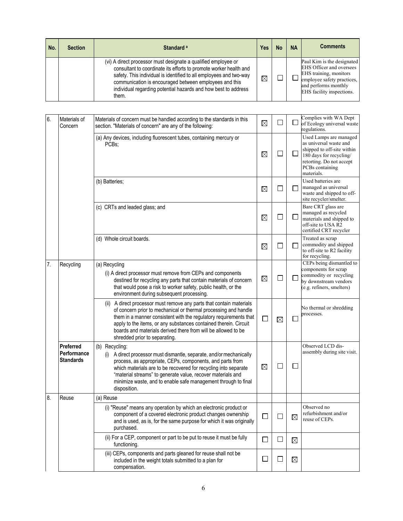| No. | <b>Section</b> | Standard <sup>a</sup>                                                                                                                                                                                                                                                                                                                          | Yes | No | <b>NA</b> | <b>Comments</b>                                                                                                                                                     |
|-----|----------------|------------------------------------------------------------------------------------------------------------------------------------------------------------------------------------------------------------------------------------------------------------------------------------------------------------------------------------------------|-----|----|-----------|---------------------------------------------------------------------------------------------------------------------------------------------------------------------|
|     |                | (vi) A direct processor must designate a qualified employee or<br>consultant to coordinate its efforts to promote worker health and<br>safety. This individual is identified to all employees and two-way<br>communication is encouraged between employees and this<br>individual regarding potential hazards and how best to address<br>them. | X   |    |           | Paul Kim is the designated<br>EHS Officer and oversees<br>EHS training, monitors<br>employee safety practices,<br>and performs monthly<br>EHS facility inspections. |

| 6. | Materials of<br>Concern                      | Materials of concern must be handled according to the standards in this<br>section. "Materials of concern" are any of the following:                                                                                                                                                                                                                                                  | $\times$      | $\mathsf{L}$ |              | Complies with WA Dept<br>of Ecology universal waste<br>regulations.                                                                                                    |
|----|----------------------------------------------|---------------------------------------------------------------------------------------------------------------------------------------------------------------------------------------------------------------------------------------------------------------------------------------------------------------------------------------------------------------------------------------|---------------|--------------|--------------|------------------------------------------------------------------------------------------------------------------------------------------------------------------------|
|    |                                              | (a) Any devices, including fluorescent tubes, containing mercury or<br>PCB <sub>s</sub> :                                                                                                                                                                                                                                                                                             | $\times$      | ப            |              | Used Lamps are managed<br>as universal waste and<br>shipped to off-site within<br>180 days for recycling/<br>retorting. Do not accept<br>PCBs containing<br>materials. |
|    |                                              | (b) Batteries;                                                                                                                                                                                                                                                                                                                                                                        | $\times$      | $\mathsf{L}$ |              | Used batteries are<br>managed as universal<br>waste and shipped to off-<br>site recycler/smelter.                                                                      |
|    |                                              | (c) CRTs and leaded glass; and                                                                                                                                                                                                                                                                                                                                                        | $\times$      | $\Box$       |              | Bare CRT glass are<br>managed as recycled<br>materials and shipped to<br>off-site to USA R2<br>certified CRT recycler                                                  |
|    |                                              | (d) Whole circuit boards.                                                                                                                                                                                                                                                                                                                                                             | $\times$      | $\mathsf{L}$ |              | Treated as scrap<br>commodity and shipped<br>to off-site to R2 facility<br>for recycling.                                                                              |
| 7. | Recycling                                    | (a) Recycling<br>(i) A direct processor must remove from CEPs and components<br>destined for recycling any parts that contain materials of concern<br>that would pose a risk to worker safety, public health, or the<br>environment during subsequent processing.                                                                                                                     | $\times$      | $\Box$       |              | CEPs being dismantled to<br>components for scrap<br>commodity or recycling<br>by downstream vendors<br>(e.g. refiners, smelters)                                       |
|    |                                              | A direct processor must remove any parts that contain materials<br>(ii)<br>of concern prior to mechanical or thermal processing and handle<br>them in a manner consistent with the regulatory requirements that<br>apply to the items, or any substances contained therein. Circuit<br>boards and materials derived there from will be allowed to be<br>shredded prior to separating. | $\Box$        | X            |              | No thermal or shredding<br>processes.                                                                                                                                  |
|    | Preferred<br>Performance<br><b>Standards</b> | (b) Recycling:<br>(i) A direct processor must dismantle, separate, and/or mechanically<br>process, as appropriate, CEPs, components, and parts from<br>which materials are to be recovered for recycling into separate<br>"material streams" to generate value, recover materials and<br>minimize waste, and to enable safe management through to final<br>disposition.               | X             | $\Box$       | $\mathbb{R}$ | Observed LCD dis-<br>assembly during site visit.                                                                                                                       |
| 8. | Reuse                                        | (a) Reuse                                                                                                                                                                                                                                                                                                                                                                             |               |              |              |                                                                                                                                                                        |
|    |                                              | (i) "Reuse" means any operation by which an electronic product or<br>component of a covered electronic product changes ownership<br>and is used, as is, for the same purpose for which it was originally<br>purchased.                                                                                                                                                                | $\mathbf{I}$  | $\Box$       | X            | Observed no<br>refurbishment and/or<br>reuse of CEPs.                                                                                                                  |
|    |                                              | (ii) For a CEP, component or part to be put to reuse it must be fully<br>functioning.                                                                                                                                                                                                                                                                                                 | $\Box$        | $\Box$       | X            |                                                                                                                                                                        |
|    |                                              | (iii) CEPs, components and parts gleaned for reuse shall not be<br>included in the weight totals submitted to a plan for<br>compensation.                                                                                                                                                                                                                                             | $\mathcal{L}$ | ⊔            | $\times$     |                                                                                                                                                                        |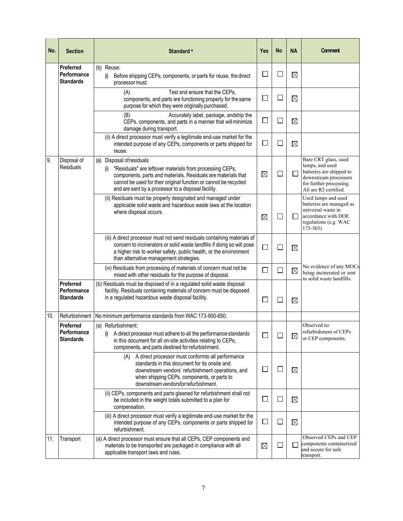| No. | <b>Section</b>                                      | Standard <sup>a</sup>                                                                                                                                                                                                                                                                    | Yes                         | <b>No</b> | NA       | Comment                                                                                                                                          |
|-----|-----------------------------------------------------|------------------------------------------------------------------------------------------------------------------------------------------------------------------------------------------------------------------------------------------------------------------------------------------|-----------------------------|-----------|----------|--------------------------------------------------------------------------------------------------------------------------------------------------|
|     | Preferred<br>Performance<br><b>Standards</b>        | (b) Reuse:<br>Before shipping CEPs, components, or parts for reuse, the direct<br>(i)<br>processor must:                                                                                                                                                                                 | $\sim$                      | 口         | $\times$ |                                                                                                                                                  |
|     |                                                     | (A)<br>Test and ensure that the CEPs,<br>components, and parts are functioning properly for the same<br>purpose for which they were originally purchased.                                                                                                                                | $\mathcal{L}$               | $\Box$    | X        |                                                                                                                                                  |
|     |                                                     | Accurately label, package, andship the<br>(B)<br>CEPs, components, and parts in a manner that will minimize<br>damage during transport.                                                                                                                                                  | $\overline{\phantom{a}}$    | □         | $\times$ |                                                                                                                                                  |
|     |                                                     | (ii) A direct processor must verify a legitimate end-use market for the<br>intended purpose of any CEPs, components or parts shipped for<br>reuse.                                                                                                                                       | $\Box$                      | $\Box$    | $\times$ |                                                                                                                                                  |
| 9.  | Disposal of<br>Residuals                            | (a) Disposal of residuals<br>"Residuals" are leftover materials from processing CEPs,<br>(1)<br>components, parts and materials. Residuals are materials that<br>cannot be used for their original function or cannot be recycled<br>and are sent by a processor to a disposal facility. | $\times$                    | $\Box$    |          | Bare CRT glass, used<br>lamps, and used<br>batteries are shipped to<br>downstream processors<br>for further processing.<br>All are R2 certified. |
|     |                                                     | (ii) Residuals must be properly designated and managed under<br>applicable solid waste and hazardous waste laws at the location<br>where disposal occurs.                                                                                                                                | $\times$                    | $\Box$    |          | Used lamps and used<br>batteries are managed as<br>universal waste in<br>accordance with DOE<br>regulations (e.g. WAC<br>$173 - 303$             |
|     |                                                     | (iii) A direct processor must not send residuals containing materials of<br>concern to incinerators or solid waste landfills if doing so will pose<br>a higher risk to worker safety, public health, or the environment<br>than alternative management strategies.                       | $\Box$                      | $\Box$    | $\times$ |                                                                                                                                                  |
|     |                                                     | (iv) Residuals from processing of materials of concern must not be<br>mixed with other residuals for the purpose of disposal.                                                                                                                                                            | $\mathcal{L}_{\mathcal{A}}$ | $\Box$    | $\times$ | No evidence of any MOCs<br>being incinerated or sent<br>to solid waste landfills.                                                                |
|     | Preferred<br>Performance<br><b>Standards</b>        | (b) Residuals must be disposed of in a regulated solid waste disposal<br>facility. Residuals containing materials of concern must be disposed<br>in a regulated hazardous waste disposal facility.                                                                                       | $\overline{\phantom{a}}$    |           | X        |                                                                                                                                                  |
| 10. |                                                     | Refurbishment   No minimum performance standards from WAC 173-900-650.                                                                                                                                                                                                                   |                             |           |          |                                                                                                                                                  |
|     | <b>Preferred</b><br>Performance<br><b>Standards</b> | (a) Refurbishment:<br>(i) A direct processor must adhere to all the performance standards<br>in this document for all on-site activities relating to CEPs,<br>components, and parts destined for refurbishment.                                                                          | $\sqcup$                    |           | $\times$ | Observed no<br>refurbishment of CEPs<br>or CEP components.                                                                                       |
|     |                                                     | (A) A direct processor must conformto all performance<br>standards in this document for its onsite and<br>downstream vendors' refurbishment operations, and<br>when shipping CEPs, components, or parts to<br>downstream vendorsfor refurbishment.                                       | □                           | $\Box$    | $\times$ |                                                                                                                                                  |
|     |                                                     | (ii) CEPs, components and parts gleaned for refurbishment shall not<br>be included in the weight totals submitted to a plan for<br>compensation.                                                                                                                                         | $\Box$                      | ⊔         | $\times$ |                                                                                                                                                  |
|     |                                                     | (iii) A direct processor must verify a legitimate end-use market for the<br>intended purpose of any CEPs, components or parts shipped for<br>refurbishment.                                                                                                                              | $\Box$                      | ⊔         | X        |                                                                                                                                                  |
| 11. | Transport                                           | (a) A direct processor must ensure that all CEPs, CEP components and<br>materials to be transported are packaged in compliance with all<br>applicable transport laws and rules.                                                                                                          | $\times$                    | ⊔         |          | Observed CEPs and CEP<br>components containerized<br>and secure for safe<br>transport.                                                           |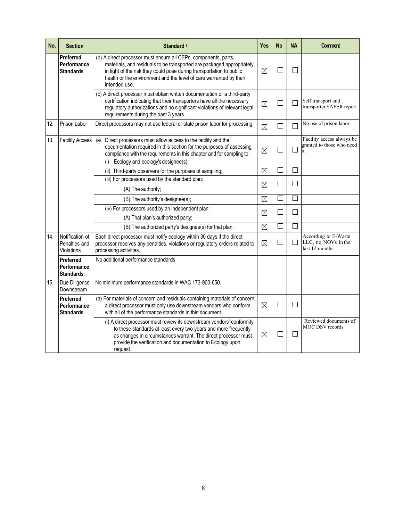| No. | <b>Section</b>                                      | Standard <sup>a</sup>                                                                                                                                                                                                                                                                                   | Yes         | <b>No</b> | <b>NA</b> | <b>Comment</b>                                                 |
|-----|-----------------------------------------------------|---------------------------------------------------------------------------------------------------------------------------------------------------------------------------------------------------------------------------------------------------------------------------------------------------------|-------------|-----------|-----------|----------------------------------------------------------------|
|     | <b>Preferred</b><br>Performance<br><b>Standards</b> | (b) A direct processor must ensure all CEPs, components, parts,<br>materials, and residuals to be transported are packaged appropriately<br>in light of the risk they could pose during transportation to public<br>health or the environment and the level of care warranted by their<br>intended use. | $\times$    | П         | I.        |                                                                |
|     |                                                     | (c) A direct processor must obtain written documentation or a third-party<br>certification indicating that their transporters have all the necessary<br>regulatory authorizations and no significant violations of relevant legal<br>requirements during the past 3 years.                              | $\times$    | Г         |           | Self transport and<br>transporter SAFER report                 |
| 12. | Prison Labor                                        | Direct processors may not use federal or state prison labor for processing.                                                                                                                                                                                                                             | $\times$    | Г         |           | No use of prison labor.                                        |
| 13. | <b>Facility Access</b>                              | Direct processors must allow access to the facility and the<br>(a)<br>documentation required in this section for the purposes of assessing<br>compliance with the requirements in this chapter and for sampling to:<br>Ecology and ecology's designee(s);<br>(i)                                        | $\times$    | L         |           | Facility access always be<br>granted to those who need<br>it.  |
|     |                                                     | (ii) Third-party observers for the purposes of sampling;                                                                                                                                                                                                                                                | X           |           |           |                                                                |
|     |                                                     | (iii) For processors used by the standard plan:                                                                                                                                                                                                                                                         |             | Г         |           |                                                                |
|     |                                                     | (A) The authority;                                                                                                                                                                                                                                                                                      | $\boxtimes$ |           |           |                                                                |
|     |                                                     | (B) The authority's designee(s);                                                                                                                                                                                                                                                                        | $\times$    | L         |           |                                                                |
|     |                                                     | (iv) For processors used by an independent plan:<br>(A) That plan's authorized party;                                                                                                                                                                                                                   | X           | Г         |           |                                                                |
|     |                                                     | (B) The authorized party's designee(s) for that plan.                                                                                                                                                                                                                                                   | $\times$    | n.        |           |                                                                |
| 14. | Notification of<br>Penalties and<br>Violations      | Each direct processor must notify ecology within 30 days if the direct<br>processor receives any penalties, violations or regulatory orders related to<br>processing activities.                                                                                                                        | $\times$    | П         | J.        | According to E-Waste<br>LLC, no NOVs in the<br>last 12 months. |
|     | <b>Preferred</b><br>Performance<br><b>Standards</b> | No additional performance standards.                                                                                                                                                                                                                                                                    |             |           |           |                                                                |
| 15. | Due Diligence<br>Downstream                         | No minimum performance standards in WAC 173-900-650.                                                                                                                                                                                                                                                    |             |           |           |                                                                |
|     | <b>Preferred</b><br>Performance<br><b>Standards</b> | (a) For materials of concern and residuals containing materials of concern<br>a direct processor must only use downstream vendors who conform<br>with all of the performance standards in this document.                                                                                                | $\times$    | $\Box$    | $\Box$    |                                                                |
|     |                                                     | (i) A direct processor must review its downstream vendors' conformity<br>to these standards at least every two years and more frequently<br>as changes in circumstances warrant. The direct processor must<br>provide the verification and documentation to Ecology upon<br>request.                    | $\times$    | Г         | I.        | Reviewed documents of<br>MOC DSV records.                      |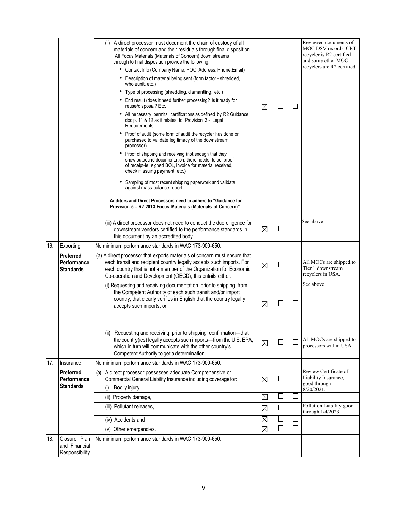|     |                                                     | (ii) A direct processor must document the chain of custody of all<br>materials of concern and their residuals through final disposition.<br>All Focus Materials (Materials of Concern) down streams<br>through to final disposition provide the following:<br>Contact Info (Company Name, POC, Address, Phone, Email)<br>Description of material being sent (form factor - shredded,<br>wholeunit, etc.)<br>Type of processing (shredding, dismantling, etc.)<br>End result (does it need further processing? Is it ready for<br>reuse/disposal? Etc.<br>All necessary permits, certifications as defined by R2 Guidance<br>doc p. 11 & 12 as it relates to Provision 3 - Legal<br>Requirements<br>Proof of audit (some form of audit the recycler has done or<br>purchased to validate legitimacy of the downstream<br>processor)<br>Proof of shipping and receiving (not enough that they<br>show outbound documentation, there needs to be proof<br>of receipt-ie: signed BOL, invoice for material received,<br>check if issuing payment, etc.) | X        |              | $\mathbf{I}$ | Reviewed documents of<br>MOC DSV records. CRT<br>recycler is R2 certified<br>and some other MOC<br>recyclers are R2 certified. |
|-----|-----------------------------------------------------|-----------------------------------------------------------------------------------------------------------------------------------------------------------------------------------------------------------------------------------------------------------------------------------------------------------------------------------------------------------------------------------------------------------------------------------------------------------------------------------------------------------------------------------------------------------------------------------------------------------------------------------------------------------------------------------------------------------------------------------------------------------------------------------------------------------------------------------------------------------------------------------------------------------------------------------------------------------------------------------------------------------------------------------------------------|----------|--------------|--------------|--------------------------------------------------------------------------------------------------------------------------------|
|     |                                                     | Sampling of most recent shipping paperwork and validate<br>against mass balance report.<br>Auditors and Direct Processors need to adhere to "Guidance for                                                                                                                                                                                                                                                                                                                                                                                                                                                                                                                                                                                                                                                                                                                                                                                                                                                                                           |          |              |              |                                                                                                                                |
|     |                                                     | Provision 5 - R2:2013 Focus Materials (Materials of Concern)"                                                                                                                                                                                                                                                                                                                                                                                                                                                                                                                                                                                                                                                                                                                                                                                                                                                                                                                                                                                       |          |              |              |                                                                                                                                |
|     |                                                     | (iii) A direct processor does not need to conduct the due diligence for<br>downstream vendors certified to the performance standards in<br>this document by an accredited body.                                                                                                                                                                                                                                                                                                                                                                                                                                                                                                                                                                                                                                                                                                                                                                                                                                                                     | X        |              |              | See above                                                                                                                      |
| 16. | Exporting                                           | No minimum performance standards in WAC 173-900-650.                                                                                                                                                                                                                                                                                                                                                                                                                                                                                                                                                                                                                                                                                                                                                                                                                                                                                                                                                                                                |          |              |              |                                                                                                                                |
|     | Preferred<br>Performance<br><b>Standards</b>        | (a) A direct processor that exports materials of concern must ensure that<br>each transit and recipient country legally accepts such imports. For<br>each country that is not a member of the Organization for Economic<br>Co-operation and Development (OECD), this entails either:                                                                                                                                                                                                                                                                                                                                                                                                                                                                                                                                                                                                                                                                                                                                                                | $\times$ |              |              | All MOCs are shipped to<br>Tier 1 downstream<br>recyclers in USA.                                                              |
|     |                                                     | (i) Requesting and receiving documentation, prior to shipping, from<br>the Competent Authority of each such transit and/or import<br>country, that clearly verifies in English that the country legally<br>accepts such imports, or                                                                                                                                                                                                                                                                                                                                                                                                                                                                                                                                                                                                                                                                                                                                                                                                                 | $\times$ |              |              | See above                                                                                                                      |
|     |                                                     | (ii) Requesting and receiving, prior to shipping, confirmation-that<br>the country(ies) legally accepts such imports-from the U.S. EPA,<br>which in turn will communicate with the other country's<br>Competent Authority to get a determination.                                                                                                                                                                                                                                                                                                                                                                                                                                                                                                                                                                                                                                                                                                                                                                                                   | $\times$ |              |              | All MOCs are shipped to<br>processors within USA.                                                                              |
| 17. | Insurance                                           | No minimum performance standards in WAC 173-900-650.                                                                                                                                                                                                                                                                                                                                                                                                                                                                                                                                                                                                                                                                                                                                                                                                                                                                                                                                                                                                |          |              |              |                                                                                                                                |
|     | <b>Preferred</b><br>Performance<br><b>Standards</b> | (a) A direct processor possesses adequate Comprehensive or<br>Commercial General Liability Insurance including coverage for:<br>Bodily injury,<br>(i)                                                                                                                                                                                                                                                                                                                                                                                                                                                                                                                                                                                                                                                                                                                                                                                                                                                                                               | $\times$ | $\mathbf{I}$ |              | Review Certificate of<br>Liability Insurance,<br>good through<br>$8/20/2021$ .                                                 |
|     |                                                     | (ii) Property damage,                                                                                                                                                                                                                                                                                                                                                                                                                                                                                                                                                                                                                                                                                                                                                                                                                                                                                                                                                                                                                               | $\times$ |              |              |                                                                                                                                |
|     |                                                     | (iii) Pollutant releases,                                                                                                                                                                                                                                                                                                                                                                                                                                                                                                                                                                                                                                                                                                                                                                                                                                                                                                                                                                                                                           | $\times$ | $\Box$       |              | Pollution Liability good<br>through 1/4/2023                                                                                   |
|     |                                                     | (iv) Accidents and                                                                                                                                                                                                                                                                                                                                                                                                                                                                                                                                                                                                                                                                                                                                                                                                                                                                                                                                                                                                                                  | $\times$ |              |              |                                                                                                                                |
|     |                                                     | (v) Other emergencies.                                                                                                                                                                                                                                                                                                                                                                                                                                                                                                                                                                                                                                                                                                                                                                                                                                                                                                                                                                                                                              | X        |              |              |                                                                                                                                |
| 18. | Closure Plan<br>and Financial<br>Responsibility     | No minimum performance standards in WAC 173-900-650.                                                                                                                                                                                                                                                                                                                                                                                                                                                                                                                                                                                                                                                                                                                                                                                                                                                                                                                                                                                                |          |              |              |                                                                                                                                |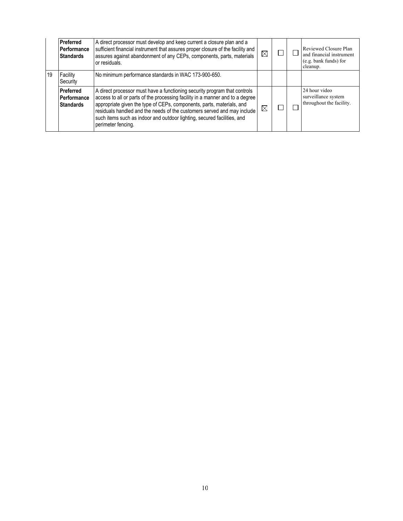|    | Preferred<br>Performance<br><b>Standards</b> | A direct processor must develop and keep current a closure plan and a<br>sufficient financial instrument that assures proper closure of the facility and<br>assures against abandonment of any CEPs, components, parts, materials<br>or residuals.                                                                                                                                                              | $\times$ |  | Reviewed Closure Plan<br>and financial instrument<br>(e.g. bank funds) for<br>cleanup. |
|----|----------------------------------------------|-----------------------------------------------------------------------------------------------------------------------------------------------------------------------------------------------------------------------------------------------------------------------------------------------------------------------------------------------------------------------------------------------------------------|----------|--|----------------------------------------------------------------------------------------|
| 19 | Facility<br>∣Security                        | No minimum performance standards in WAC 173-900-650.                                                                                                                                                                                                                                                                                                                                                            |          |  |                                                                                        |
|    | Preferred<br>Performance<br><b>Standards</b> | A direct processor must have a functioning security program that controls<br>access to all or parts of the processing facility in a manner and to a degree<br>appropriate given the type of CEPs, components, parts, materials, and<br>residuals handled and the needs of the customers served and may include<br>such items such as indoor and outdoor lighting, secured facilities, and<br>perimeter fencing. | $\times$ |  | 24 hour video<br>surveillance system<br>throughout the facility.                       |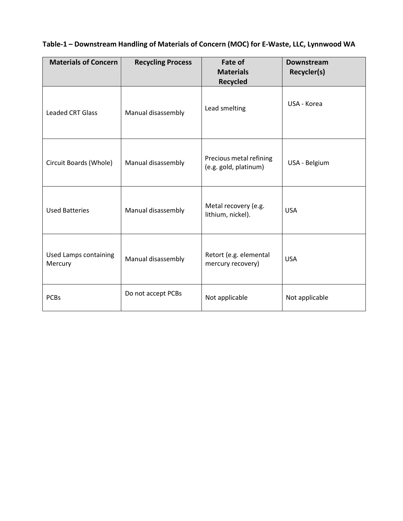| <b>Materials of Concern</b>      | <b>Recycling Process</b> | Fate of<br><b>Materials</b><br><b>Recycled</b>   | <b>Downstream</b><br>Recycler(s) |
|----------------------------------|--------------------------|--------------------------------------------------|----------------------------------|
| <b>Leaded CRT Glass</b>          | Manual disassembly       | Lead smelting                                    | USA - Korea                      |
| Circuit Boards (Whole)           | Manual disassembly       | Precious metal refining<br>(e.g. gold, platinum) | USA - Belgium                    |
| <b>Used Batteries</b>            | Manual disassembly       | Metal recovery (e.g.<br>lithium, nickel).        | <b>USA</b>                       |
| Used Lamps containing<br>Mercury | Manual disassembly       | Retort (e.g. elemental<br>mercury recovery)      | <b>USA</b>                       |
| <b>PCBs</b>                      | Do not accept PCBs       | Not applicable                                   | Not applicable                   |

### **Table-1 – Downstream Handling of Materials of Concern (MOC) for E-Waste, LLC, Lynnwood WA**